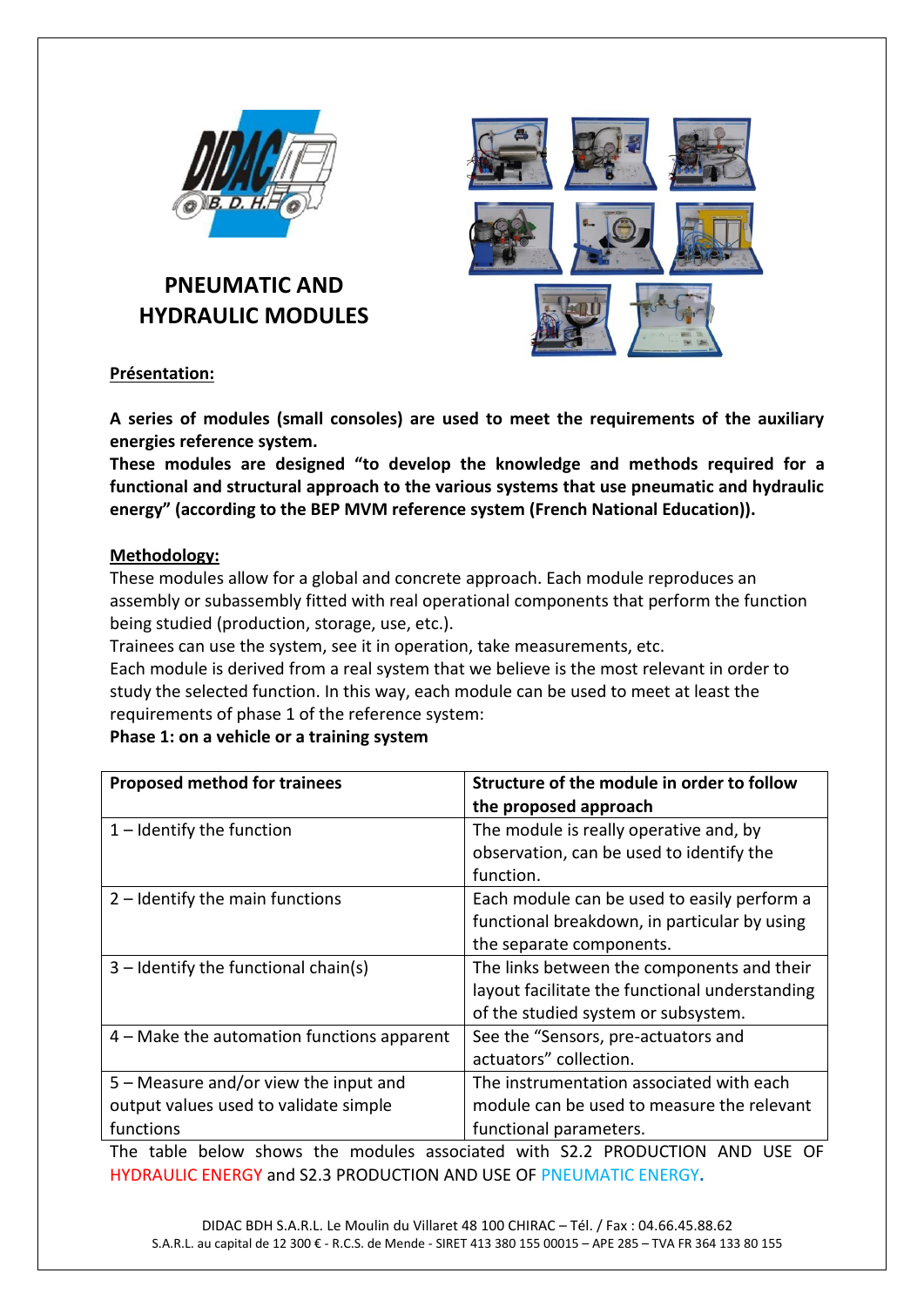

## **PNEUMATIC AND HYDRAULIC MODULES**



## **Présentation:**

**A series of modules (small consoles) are used to meet the requirements of the auxiliary energies reference system.**

**These modules are designed "to develop the knowledge and methods required for a functional and structural approach to the various systems that use pneumatic and hydraulic energy" (according to the BEP MVM reference system (French National Education)).**

## **Methodology:**

These modules allow for a global and concrete approach. Each module reproduces an assembly or subassembly fitted with real operational components that perform the function being studied (production, storage, use, etc.).

Trainees can use the system, see it in operation, take measurements, etc.

Each module is derived from a real system that we believe is the most relevant in order to study the selected function. In this way, each module can be used to meet at least the requirements of phase 1 of the reference system:

## **Phase 1: on a vehicle or a training system**

| <b>Proposed method for trainees</b>          | Structure of the module in order to follow     |  |
|----------------------------------------------|------------------------------------------------|--|
|                                              | the proposed approach                          |  |
| $1$ – Identify the function                  | The module is really operative and, by         |  |
|                                              | observation, can be used to identify the       |  |
|                                              | function.                                      |  |
| $2$ – Identify the main functions            | Each module can be used to easily perform a    |  |
|                                              | functional breakdown, in particular by using   |  |
|                                              | the separate components.                       |  |
| $3$ – Identify the functional chain(s)       | The links between the components and their     |  |
|                                              | layout facilitate the functional understanding |  |
|                                              | of the studied system or subsystem.            |  |
| $4$ – Make the automation functions apparent | See the "Sensors, pre-actuators and            |  |
|                                              | actuators" collection.                         |  |
| 5 – Measure and/or view the input and        | The instrumentation associated with each       |  |
| output values used to validate simple        | module can be used to measure the relevant     |  |
| functions                                    | functional parameters.                         |  |

The table below shows the modules associated with S2.2 PRODUCTION AND USE OF HYDRAULIC ENERGY and S2.3 PRODUCTION AND USE OF PNEUMATIC ENERGY**.**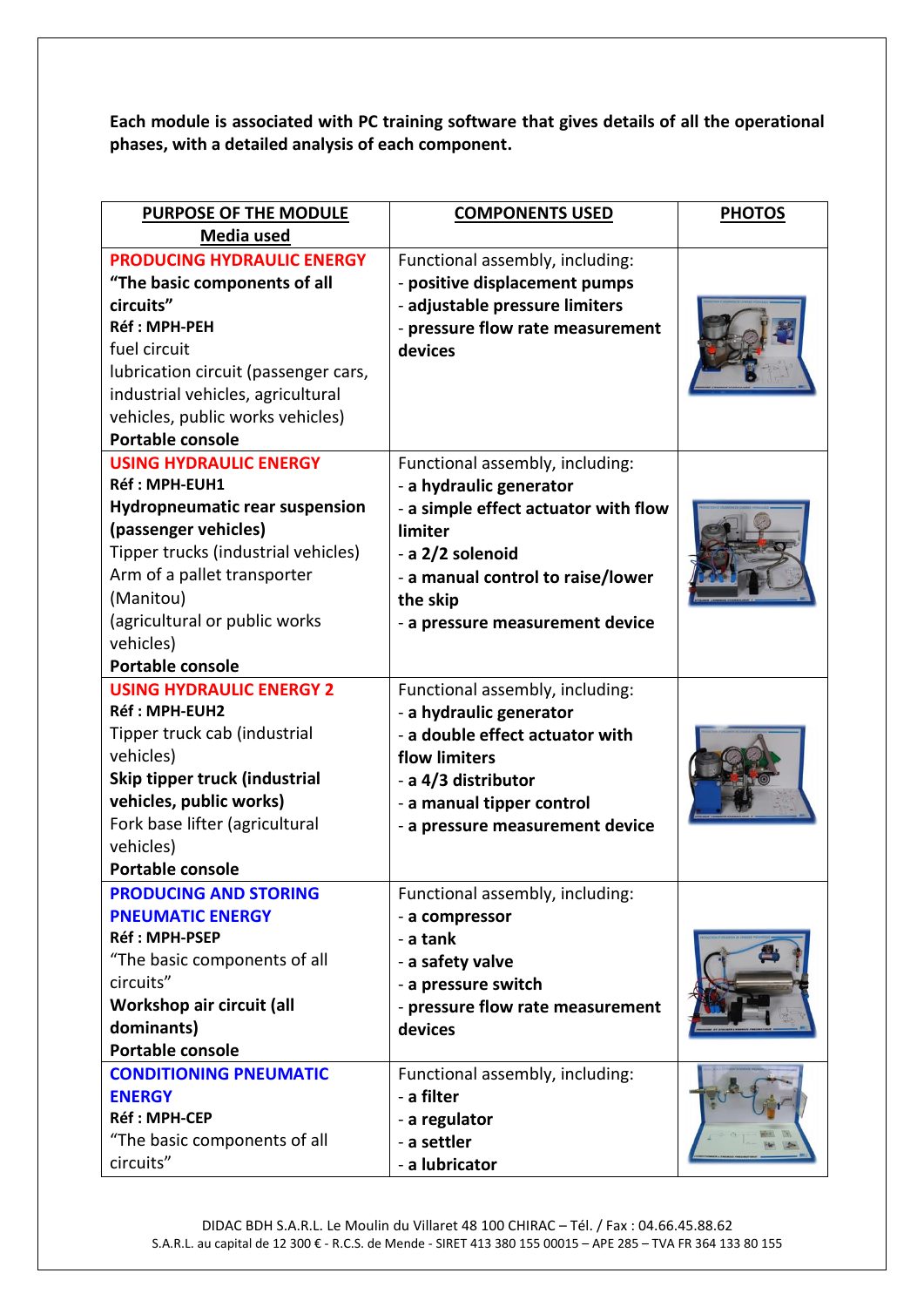**Each module is associated with PC training software that gives details of all the operational phases, with a detailed analysis of each component.**

| <b>PURPOSE OF THE MODULE</b><br>Media used                                                                                                                                                                                                                                  | <b>COMPONENTS USED</b>                                                                                                                                                                                                | <b>PHOTOS</b> |
|-----------------------------------------------------------------------------------------------------------------------------------------------------------------------------------------------------------------------------------------------------------------------------|-----------------------------------------------------------------------------------------------------------------------------------------------------------------------------------------------------------------------|---------------|
| <b>PRODUCING HYDRAULIC ENERGY</b><br>"The basic components of all<br>circuits"<br>Réf: MPH-PEH<br>fuel circuit<br>lubrication circuit (passenger cars,<br>industrial vehicles, agricultural<br>vehicles, public works vehicles)<br><b>Portable console</b>                  | Functional assembly, including:<br>- positive displacement pumps<br>- adjustable pressure limiters<br>- pressure flow rate measurement<br>devices                                                                     |               |
| <b>USING HYDRAULIC ENERGY</b><br>Réf: MPH-EUH1<br><b>Hydropneumatic rear suspension</b><br>(passenger vehicles)<br>Tipper trucks (industrial vehicles)<br>Arm of a pallet transporter<br>(Manitou)<br>(agricultural or public works<br>vehicles)<br><b>Portable console</b> | Functional assembly, including:<br>- a hydraulic generator<br>- a simple effect actuator with flow<br>limiter<br>- a 2/2 solenoid<br>- a manual control to raise/lower<br>the skip<br>- a pressure measurement device |               |
| <b>USING HYDRAULIC ENERGY 2</b><br><b>Réf: MPH-EUH2</b><br>Tipper truck cab (industrial<br>vehicles)<br>Skip tipper truck (industrial<br>vehicles, public works)<br>Fork base lifter (agricultural<br>vehicles)<br><b>Portable console</b>                                  | Functional assembly, including:<br>- a hydraulic generator<br>- a double effect actuator with<br>flow limiters<br>- a 4/3 distributor<br>- a manual tipper control<br>- a pressure measurement device                 |               |
| <b>PRODUCING AND STORING</b><br><b>PNEUMATIC ENERGY</b><br>Réf: MPH-PSEP<br>"The basic components of all<br>circuits"<br>Workshop air circuit (all<br>dominants)<br>Portable console<br><b>CONDITIONING PNEUMATIC</b>                                                       | Functional assembly, including:<br>- a compressor<br>- a tank<br>- a safety valve<br>- a pressure switch<br>- pressure flow rate measurement<br>devices<br>Functional assembly, including:                            |               |
| <b>ENERGY</b><br><b>Réf: MPH-CEP</b><br>"The basic components of all<br>circuits"                                                                                                                                                                                           | - a filter<br>- a regulator<br>- a settler<br>- a lubricator                                                                                                                                                          |               |